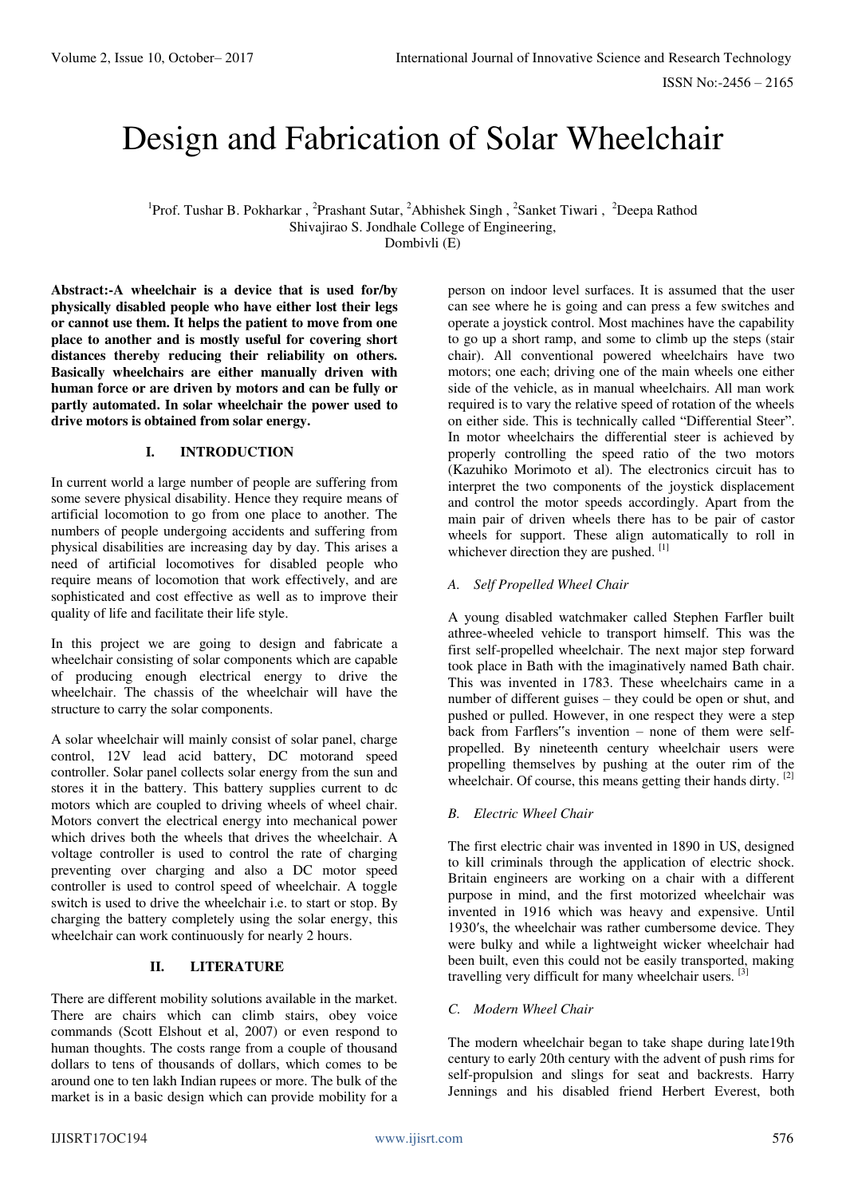# Design and Fabrication of Solar Wheelchair

<sup>1</sup>Prof. Tushar B. Pokharkar, <sup>2</sup>Prashant Sutar, <sup>2</sup>Abhishek Singh, <sup>2</sup>Sanket Tiwari, <sup>2</sup>Deepa Rathod Shivajirao S. Jondhale College of Engineering, Dombivli (E)

**Abstract:-A wheelchair is a device that is used for/by physically disabled people who have either lost their legs or cannot use them. It helps the patient to move from one place to another and is mostly useful for covering short distances thereby reducing their reliability on others. Basically wheelchairs are either manually driven with human force or are driven by motors and can be fully or partly automated. In solar wheelchair the power used to drive motors is obtained from solar energy.** 

## **I. INTRODUCTION**

In current world a large number of people are suffering from some severe physical disability. Hence they require means of artificial locomotion to go from one place to another. The numbers of people undergoing accidents and suffering from physical disabilities are increasing day by day. This arises a need of artificial locomotives for disabled people who require means of locomotion that work effectively, and are sophisticated and cost effective as well as to improve their quality of life and facilitate their life style.

In this project we are going to design and fabricate a wheelchair consisting of solar components which are capable of producing enough electrical energy to drive the wheelchair. The chassis of the wheelchair will have the structure to carry the solar components.

A solar wheelchair will mainly consist of solar panel, charge control, 12V lead acid battery, DC motorand speed controller. Solar panel collects solar energy from the sun and stores it in the battery. This battery supplies current to dc motors which are coupled to driving wheels of wheel chair. Motors convert the electrical energy into mechanical power which drives both the wheels that drives the wheelchair. A voltage controller is used to control the rate of charging preventing over charging and also a DC motor speed controller is used to control speed of wheelchair. A toggle switch is used to drive the wheelchair i.e. to start or stop. By charging the battery completely using the solar energy, this wheelchair can work continuously for nearly 2 hours.

#### **II. LITERATURE**

There are different mobility solutions available in the market. There are chairs which can climb stairs, obey voice commands (Scott Elshout et al, 2007) or even respond to human thoughts. The costs range from a couple of thousand dollars to tens of thousands of dollars, which comes to be around one to ten lakh Indian rupees or more. The bulk of the market is in a basic design which can provide mobility for a person on indoor level surfaces. It is assumed that the user can see where he is going and can press a few switches and operate a joystick control. Most machines have the capability to go up a short ramp, and some to climb up the steps (stair chair). All conventional powered wheelchairs have two motors; one each; driving one of the main wheels one either side of the vehicle, as in manual wheelchairs. All man work required is to vary the relative speed of rotation of the wheels on either side. This is technically called "Differential Steer". In motor wheelchairs the differential steer is achieved by properly controlling the speed ratio of the two motors (Kazuhiko Morimoto et al). The electronics circuit has to interpret the two components of the joystick displacement and control the motor speeds accordingly. Apart from the main pair of driven wheels there has to be pair of castor wheels for support. These align automatically to roll in whichever direction they are pushed. [1]

## *A. Self Propelled Wheel Chair*

A young disabled watchmaker called Stephen Farfler built athree-wheeled vehicle to transport himself. This was the first self-propelled wheelchair. The next major step forward took place in Bath with the imaginatively named Bath chair. This was invented in 1783. These wheelchairs came in a number of different guises – they could be open or shut, and pushed or pulled. However, in one respect they were a step back from Farflers"s invention – none of them were selfpropelled. By nineteenth century wheelchair users were propelling themselves by pushing at the outer rim of the wheelchair. Of course, this means getting their hands dirty. [2]

#### *B. Electric Wheel Chair*

The first electric chair was invented in 1890 in US, designed to kill criminals through the application of electric shock. Britain engineers are working on a chair with a different purpose in mind, and the first motorized wheelchair was invented in 1916 which was heavy and expensive. Until 1930′s, the wheelchair was rather cumbersome device. They were bulky and while a lightweight wicker wheelchair had been built, even this could not be easily transported, making travelling very difficult for many wheelchair users.  $^{[3]}$ 

#### *C. Modern Wheel Chair*

The modern wheelchair began to take shape during late19th century to early 20th century with the advent of push rims for self-propulsion and slings for seat and backrests. Harry Jennings and his disabled friend Herbert Everest, both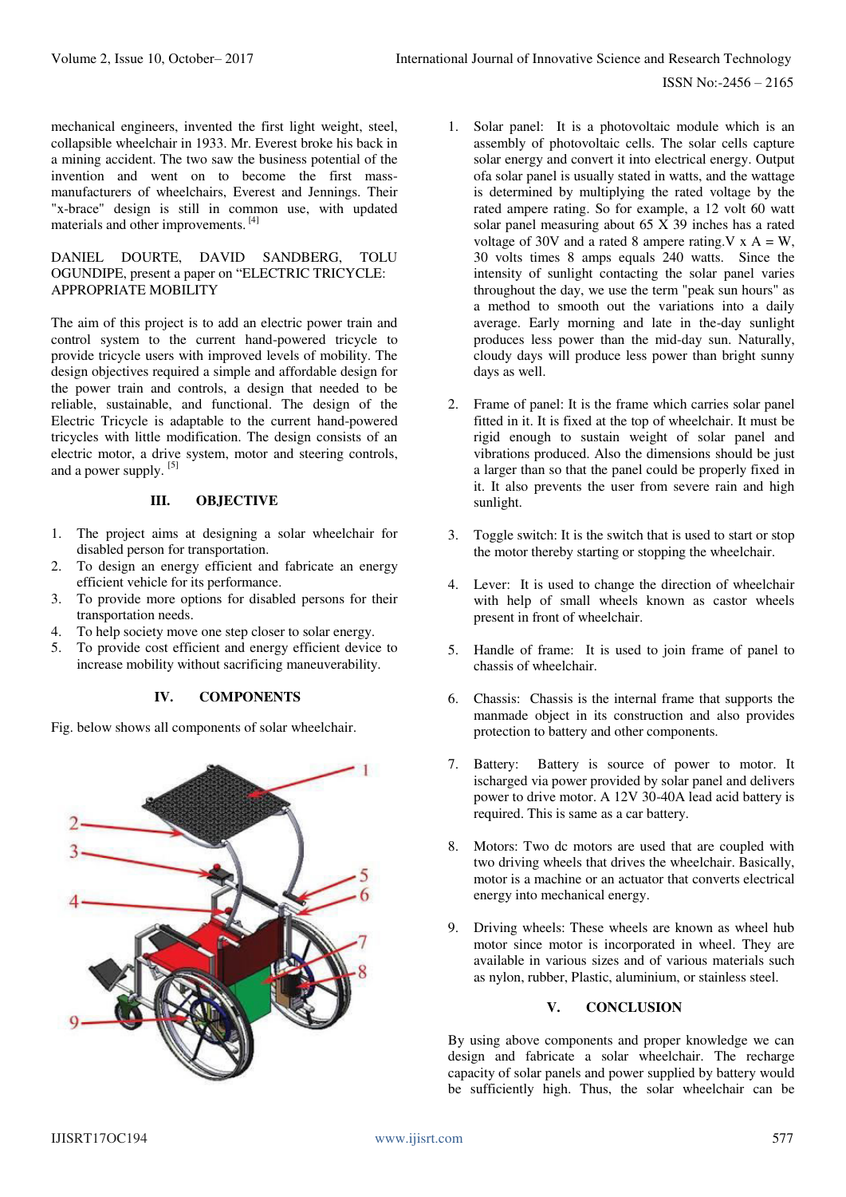ISSN No:-2456 – 2165

mechanical engineers, invented the first light weight, steel, collapsible wheelchair in 1933. Mr. Everest broke his back in a mining accident. The two saw the business potential of the invention and went on to become the first massmanufacturers of wheelchairs, Everest and Jennings. Their "x-brace" design is still in common use, with updated materials and other improvements. [4]

#### DANIEL DOURTE, DAVID SANDBERG, TOLU OGUNDIPE, present a paper on "ELECTRIC TRICYCLE: APPROPRIATE MOBILITY

The aim of this project is to add an electric power train and control system to the current hand-powered tricycle to provide tricycle users with improved levels of mobility. The design objectives required a simple and affordable design for the power train and controls, a design that needed to be reliable, sustainable, and functional. The design of the Electric Tricycle is adaptable to the current hand-powered tricycles with little modification. The design consists of an electric motor, a drive system, motor and steering controls, and a power supply. [5]

#### **III. OBJECTIVE**

- 1. The project aims at designing a solar wheelchair for disabled person for transportation.
- 2. To design an energy efficient and fabricate an energy efficient vehicle for its performance.
- 3. To provide more options for disabled persons for their transportation needs.
- 4. To help society move one step closer to solar energy.
- 5. To provide cost efficient and energy efficient device to increase mobility without sacrificing maneuverability.

# **IV. COMPONENTS**

Fig. below shows all components of solar wheelchair.



- 1. Solar panel: It is a photovoltaic module which is an assembly of photovoltaic cells. The solar cells capture solar energy and convert it into electrical energy. Output ofa solar panel is usually stated in watts, and the wattage is determined by multiplying the rated voltage by the rated ampere rating. So for example, a 12 volt 60 watt solar panel measuring about 65 X 39 inches has a rated voltage of 30V and a rated 8 ampere rating.  $V \times A = W$ , 30 volts times 8 amps equals 240 watts. Since the intensity of sunlight contacting the solar panel varies throughout the day, we use the term "peak sun hours" as a method to smooth out the variations into a daily average. Early morning and late in the-day sunlight produces less power than the mid-day sun. Naturally, cloudy days will produce less power than bright sunny days as well.
- 2. Frame of panel: It is the frame which carries solar panel fitted in it. It is fixed at the top of wheelchair. It must be rigid enough to sustain weight of solar panel and vibrations produced. Also the dimensions should be just a larger than so that the panel could be properly fixed in it. It also prevents the user from severe rain and high sunlight.
- 3. Toggle switch: It is the switch that is used to start or stop the motor thereby starting or stopping the wheelchair.
- 4. Lever: It is used to change the direction of wheelchair with help of small wheels known as castor wheels present in front of wheelchair.
- 5. Handle of frame: It is used to join frame of panel to chassis of wheelchair.
- 6. Chassis: Chassis is the internal frame that supports the manmade object in its construction and also provides protection to battery and other components.
- 7. Battery: Battery is source of power to motor. It ischarged via power provided by solar panel and delivers power to drive motor. A 12V 30-40A lead acid battery is required. This is same as a car battery.
- 8. Motors: Two dc motors are used that are coupled with two driving wheels that drives the wheelchair. Basically, motor is a machine or an actuator that converts [electrical](https://en.wikipedia.org/wiki/Electrical_energy)  [energy i](https://en.wikipedia.org/wiki/Electrical_energy)nt[o mechanical energy.](https://en.wikipedia.org/wiki/Mechanical_energy)
- 9. Driving wheels: These wheels are known as wheel hub motor since motor is incorporated in wheel. They are available in various sizes and of various materials such as nylon, rubber, Plastic, aluminium, or stainless steel.

#### **V. CONCLUSION**

By using above components and proper knowledge we can design and fabricate a solar wheelchair. The recharge capacity of solar panels and power supplied by battery would be sufficiently high. Thus, the solar wheelchair can be